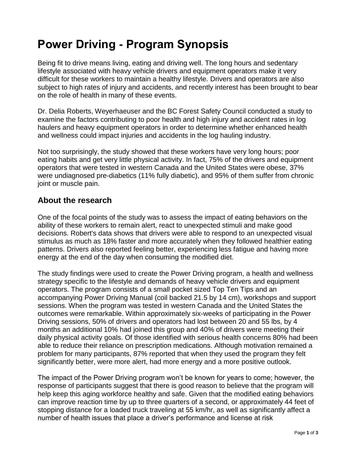# **Power Driving - Program Synopsis**

Being fit to drive means living, eating and driving well. The long hours and sedentary lifestyle associated with heavy vehicle drivers and equipment operators make it very difficult for these workers to maintain a healthy lifestyle. Drivers and operators are also subject to high rates of injury and accidents, and recently interest has been brought to bear on the role of health in many of these events.

Dr. Delia Roberts, Weyerhaeuser and the BC Forest Safety Council conducted a study to examine the factors contributing to poor health and high injury and accident rates in log haulers and heavy equipment operators in order to determine whether enhanced health and wellness could impact injuries and accidents in the log hauling industry.

Not too surprisingly, the study showed that these workers have very long hours; poor eating habits and get very little physical activity. In fact, 75% of the drivers and equipment operators that were tested in western Canada and the United States were obese, 37% were undiagnosed pre-diabetics (11% fully diabetic), and 95% of them suffer from chronic joint or muscle pain.

# **About the research**

One of the focal points of the study was to assess the impact of eating behaviors on the ability of these workers to remain alert, react to unexpected stimuli and make good decisions. Robert's data shows that drivers were able to respond to an unexpected visual stimulus as much as 18% faster and more accurately when they followed healthier eating patterns. Drivers also reported feeling better, experiencing less fatigue and having more energy at the end of the day when consuming the modified diet.

The study findings were used to create the Power Driving program, a health and wellness strategy specific to the lifestyle and demands of heavy vehicle drivers and equipment operators. The program consists of a small pocket sized Top Ten Tips and an accompanying Power Driving Manual (coil backed 21.5 by 14 cm), workshops and support sessions. When the program was tested in western Canada and the United States the outcomes were remarkable. Within approximately six-weeks of participating in the Power Driving sessions, 50% of drivers and operators had lost between 20 and 55 lbs, by 4 months an additional 10% had joined this group and 40% of drivers were meeting their daily physical activity goals. Of those identified with serious health concerns 80% had been able to reduce their reliance on prescription medications. Although motivation remained a problem for many participants, 87% reported that when they used the program they felt significantly better, were more alert, had more energy and a more positive outlook.

The impact of the Power Driving program won't be known for years to come; however, the response of participants suggest that there is good reason to believe that the program will help keep this aging workforce healthy and safe. Given that the modified eating behaviors can improve reaction time by up to three quarters of a second, or approximately 44 feet of stopping distance for a loaded truck traveling at 55 km/hr, as well as significantly affect a number of health issues that place a driver's performance and license at risk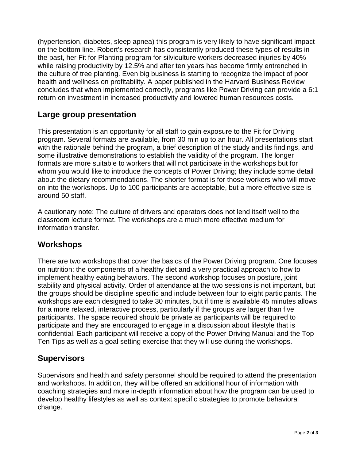(hypertension, diabetes, sleep apnea) this program is very likely to have significant impact on the bottom line. Robert's research has consistently produced these types of results in the past, her Fit for Planting program for silviculture workers decreased injuries by 40% while raising productivity by 12.5% and after ten years has become firmly entrenched in the culture of tree planting. Even big business is starting to recognize the impact of poor health and wellness on profitability. A paper published in the Harvard Business Review concludes that when implemented correctly, programs like Power Driving can provide a 6:1 return on investment in increased productivity and lowered human resources costs.

# **Large group presentation**

This presentation is an opportunity for all staff to gain exposure to the Fit for Driving program. Several formats are available, from 30 min up to an hour. All presentations start with the rationale behind the program, a brief description of the study and its findings, and some illustrative demonstrations to establish the validity of the program. The longer formats are more suitable to workers that will not participate in the workshops but for whom you would like to introduce the concepts of Power Driving; they include some detail about the dietary recommendations. The shorter format is for those workers who will move on into the workshops. Up to 100 participants are acceptable, but a more effective size is around 50 staff.

A cautionary note: The culture of drivers and operators does not lend itself well to the classroom lecture format. The workshops are a much more effective medium for information transfer.

## **Workshops**

There are two workshops that cover the basics of the Power Driving program. One focuses on nutrition; the components of a healthy diet and a very practical approach to how to implement healthy eating behaviors. The second workshop focuses on posture, joint stability and physical activity. Order of attendance at the two sessions is not important, but the groups should be discipline specific and include between four to eight participants. The workshops are each designed to take 30 minutes, but if time is available 45 minutes allows for a more relaxed, interactive process, particularly if the groups are larger than five participants. The space required should be private as participants will be required to participate and they are encouraged to engage in a discussion about lifestyle that is confidential. Each participant will receive a copy of the Power Driving Manual and the Top Ten Tips as well as a goal setting exercise that they will use during the workshops.

#### **Supervisors**

Supervisors and health and safety personnel should be required to attend the presentation and workshops. In addition, they will be offered an additional hour of information with coaching strategies and more in-depth information about how the program can be used to develop healthy lifestyles as well as context specific strategies to promote behavioral change.